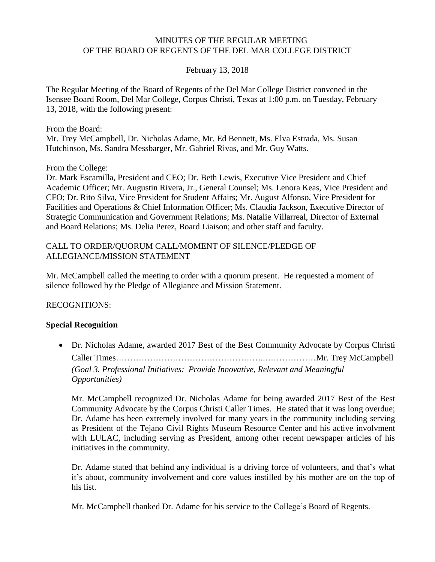#### MINUTES OF THE REGULAR MEETING OF THE BOARD OF REGENTS OF THE DEL MAR COLLEGE DISTRICT

### February 13, 2018

The Regular Meeting of the Board of Regents of the Del Mar College District convened in the Isensee Board Room, Del Mar College, Corpus Christi, Texas at 1:00 p.m. on Tuesday, February 13, 2018, with the following present:

From the Board:

Mr. Trey McCampbell, Dr. Nicholas Adame, Mr. Ed Bennett, Ms. Elva Estrada, Ms. Susan Hutchinson, Ms. Sandra Messbarger, Mr. Gabriel Rivas, and Mr. Guy Watts.

From the College:

Dr. Mark Escamilla, President and CEO; Dr. Beth Lewis, Executive Vice President and Chief Academic Officer; Mr. Augustin Rivera, Jr., General Counsel; Ms. Lenora Keas, Vice President and CFO; Dr. Rito Silva, Vice President for Student Affairs; Mr. August Alfonso, Vice President for Facilities and Operations & Chief Information Officer; Ms. Claudia Jackson, Executive Director of Strategic Communication and Government Relations; Ms. Natalie Villarreal, Director of External and Board Relations; Ms. Delia Perez, Board Liaison; and other staff and faculty.

### CALL TO ORDER/QUORUM CALL/MOMENT OF SILENCE/PLEDGE OF ALLEGIANCE/MISSION STATEMENT

Mr. McCampbell called the meeting to order with a quorum present. He requested a moment of silence followed by the Pledge of Allegiance and Mission Statement.

### RECOGNITIONS:

### **Special Recognition**

 Dr. Nicholas Adame, awarded 2017 Best of the Best Community Advocate by Corpus Christi Caller Times……………………………………………..………………Mr. Trey McCampbell *(Goal 3. Professional Initiatives: Provide Innovative, Relevant and Meaningful Opportunities)*

Mr. McCampbell recognized Dr. Nicholas Adame for being awarded 2017 Best of the Best Community Advocate by the Corpus Christi Caller Times. He stated that it was long overdue; Dr. Adame has been extremely involved for many years in the community including serving as President of the Tejano Civil Rights Museum Resource Center and his active involvment with LULAC, including serving as President, among other recent newspaper articles of his initiatives in the community.

Dr. Adame stated that behind any individual is a driving force of volunteers, and that's what it's about, community involvement and core values instilled by his mother are on the top of his list.

Mr. McCampbell thanked Dr. Adame for his service to the College's Board of Regents.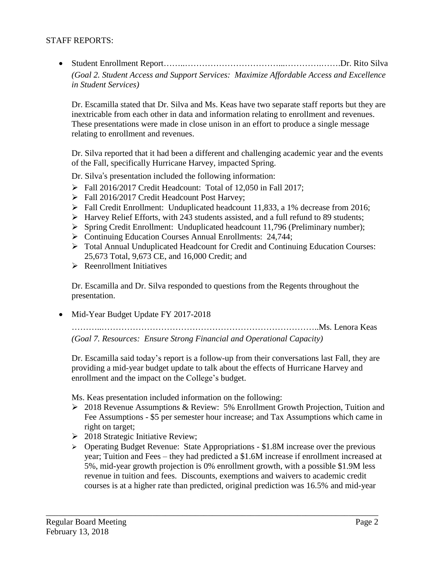### STAFF REPORTS:

 Student Enrollment Report……..……………………………...………….…….Dr. Rito Silva *(Goal 2. Student Access and Support Services: Maximize Affordable Access and Excellence in Student Services)*

Dr. Escamilla stated that Dr. Silva and Ms. Keas have two separate staff reports but they are inextricable from each other in data and information relating to enrollment and revenues. These presentations were made in close unison in an effort to produce a single message relating to enrollment and revenues.

Dr. Silva reported that it had been a different and challenging academic year and the events of the Fall, specifically Hurricane Harvey, impacted Spring.

Dr. Silva's presentation included the following information:

- $\triangleright$  Fall 2016/2017 Credit Headcount: Total of 12,050 in Fall 2017;
- Fall 2016/2017 Credit Headcount Post Harvey;
- Fall Credit Enrollment: Unduplicated headcount 11,833, a 1% decrease from 2016;
- Harvey Relief Efforts, with 243 students assisted, and a full refund to 89 students;
- Spring Credit Enrollment: Unduplicated headcount 11,796 (Preliminary number);
- ▶ Continuing Education Courses Annual Enrollments: 24,744;
- Total Annual Unduplicated Headcount for Credit and Continuing Education Courses: 25,673 Total, 9,673 CE, and 16,000 Credit; and
- $\triangleright$  Reenrollment Initiatives

Dr. Escamilla and Dr. Silva responded to questions from the Regents throughout the presentation.

Mid-Year Budget Update FY 2017-2018

………..…………………………………………………………………..Ms. Lenora Keas *(Goal 7. Resources: Ensure Strong Financial and Operational Capacity)*

Dr. Escamilla said today's report is a follow-up from their conversations last Fall, they are providing a mid-year budget update to talk about the effects of Hurricane Harvey and enrollment and the impact on the College's budget.

Ms. Keas presentation included information on the following:

- 2018 Revenue Assumptions & Review: 5% Enrollment Growth Projection, Tuition and Fee Assumptions - \$5 per semester hour increase; and Tax Assumptions which came in right on target;
- > 2018 Strategic Initiative Review;
- Operating Budget Revenue: State Appropriations \$1.8M increase over the previous year; Tuition and Fees – they had predicted a \$1.6M increase if enrollment increased at 5%, mid-year growth projection is 0% enrollment growth, with a possible \$1.9M less revenue in tuition and fees. Discounts, exemptions and waivers to academic credit courses is at a higher rate than predicted, original prediction was 16.5% and mid-year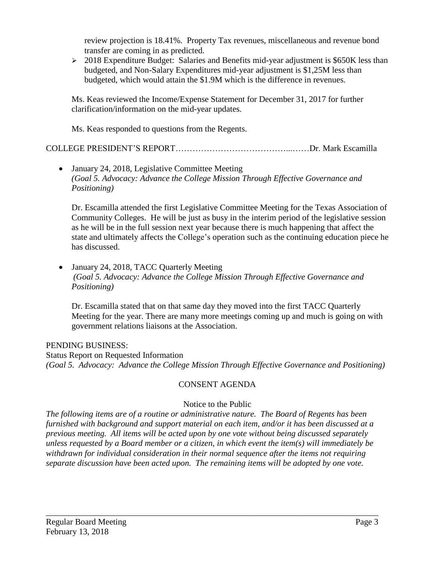review projection is 18.41%. Property Tax revenues, miscellaneous and revenue bond transfer are coming in as predicted.

 $\geq 2018$  Expenditure Budget: Salaries and Benefits mid-year adjustment is \$650K less than budgeted, and Non-Salary Expenditures mid-year adjustment is \$1,25M less than budgeted, which would attain the \$1.9M which is the difference in revenues.

Ms. Keas reviewed the Income/Expense Statement for December 31, 2017 for further clarification/information on the mid-year updates.

Ms. Keas responded to questions from the Regents.

COLLEGE PRESIDENT'S REPORT…………………………………...……Dr. Mark Escamilla

• January 24, 2018, Legislative Committee Meeting *(Goal 5. Advocacy: Advance the College Mission Through Effective Governance and Positioning)*

Dr. Escamilla attended the first Legislative Committee Meeting for the Texas Association of Community Colleges. He will be just as busy in the interim period of the legislative session as he will be in the full session next year because there is much happening that affect the state and ultimately affects the College's operation such as the continuing education piece he has discussed.

• January 24, 2018, TACC Quarterly Meeting *(Goal 5. Advocacy: Advance the College Mission Through Effective Governance and Positioning)*

Dr. Escamilla stated that on that same day they moved into the first TACC Quarterly Meeting for the year. There are many more meetings coming up and much is going on with government relations liaisons at the Association.

## PENDING BUSINESS:

Status Report on Requested Information *(Goal 5. Advocacy: Advance the College Mission Through Effective Governance and Positioning)*

# CONSENT AGENDA

## Notice to the Public

*The following items are of a routine or administrative nature. The Board of Regents has been furnished with background and support material on each item, and/or it has been discussed at a previous meeting. All items will be acted upon by one vote without being discussed separately unless requested by a Board member or a citizen, in which event the item(s) will immediately be withdrawn for individual consideration in their normal sequence after the items not requiring separate discussion have been acted upon. The remaining items will be adopted by one vote.*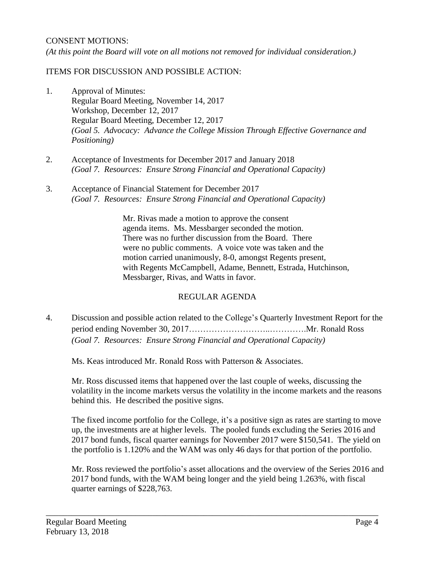### CONSENT MOTIONS:

*(At this point the Board will vote on all motions not removed for individual consideration.)*

### ITEMS FOR DISCUSSION AND POSSIBLE ACTION:

- 1. Approval of Minutes: Regular Board Meeting, November 14, 2017 Workshop, December 12, 2017 Regular Board Meeting, December 12, 2017 *(Goal 5. Advocacy: Advance the College Mission Through Effective Governance and Positioning)*
- 2. Acceptance of Investments for December 2017 and January 2018 *(Goal 7. Resources: Ensure Strong Financial and Operational Capacity)*
- 3. Acceptance of Financial Statement for December 2017 *(Goal 7. Resources: Ensure Strong Financial and Operational Capacity)*

Mr. Rivas made a motion to approve the consent agenda items. Ms. Messbarger seconded the motion. There was no further discussion from the Board. There were no public comments. A voice vote was taken and the motion carried unanimously, 8-0, amongst Regents present, with Regents McCampbell, Adame, Bennett, Estrada, Hutchinson, Messbarger, Rivas, and Watts in favor.

## REGULAR AGENDA

4. Discussion and possible action related to the College's Quarterly Investment Report for the period ending November 30, 2017………………………..………….Mr. Ronald Ross *(Goal 7. Resources: Ensure Strong Financial and Operational Capacity)*

Ms. Keas introduced Mr. Ronald Ross with Patterson & Associates.

Mr. Ross discussed items that happened over the last couple of weeks, discussing the volatility in the income markets versus the volatility in the income markets and the reasons behind this. He described the positive signs.

The fixed income portfolio for the College, it's a positive sign as rates are starting to move up, the investments are at higher levels. The pooled funds excluding the Series 2016 and 2017 bond funds, fiscal quarter earnings for November 2017 were \$150,541. The yield on the portfolio is 1.120% and the WAM was only 46 days for that portion of the portfolio.

Mr. Ross reviewed the portfolio's asset allocations and the overview of the Series 2016 and 2017 bond funds, with the WAM being longer and the yield being 1.263%, with fiscal quarter earnings of \$228,763.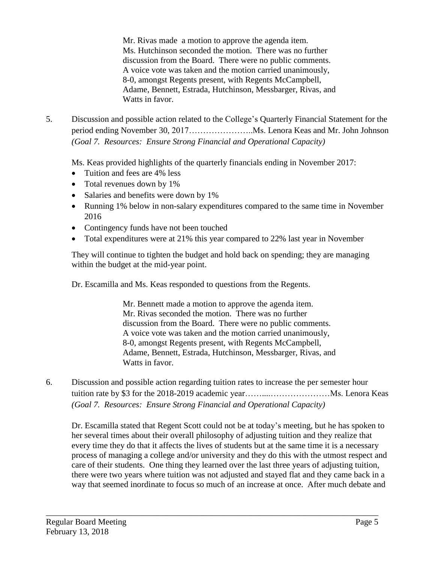Mr. Rivas made a motion to approve the agenda item. Ms. Hutchinson seconded the motion. There was no further discussion from the Board. There were no public comments. A voice vote was taken and the motion carried unanimously, 8-0, amongst Regents present, with Regents McCampbell, Adame, Bennett, Estrada, Hutchinson, Messbarger, Rivas, and Watts in favor.

5. Discussion and possible action related to the College's Quarterly Financial Statement for the period ending November 30, 2017…………………..Ms. Lenora Keas and Mr. John Johnson *(Goal 7. Resources: Ensure Strong Financial and Operational Capacity)*

Ms. Keas provided highlights of the quarterly financials ending in November 2017:

- Tuition and fees are 4% less
- Total revenues down by 1%
- Salaries and benefits were down by 1%
- Running 1% below in non-salary expenditures compared to the same time in November 2016
- Contingency funds have not been touched
- Total expenditures were at 21% this year compared to 22% last year in November

They will continue to tighten the budget and hold back on spending; they are managing within the budget at the mid-year point.

Dr. Escamilla and Ms. Keas responded to questions from the Regents.

Mr. Bennett made a motion to approve the agenda item. Mr. Rivas seconded the motion. There was no further discussion from the Board. There were no public comments. A voice vote was taken and the motion carried unanimously, 8-0, amongst Regents present, with Regents McCampbell, Adame, Bennett, Estrada, Hutchinson, Messbarger, Rivas, and Watts in favor.

6. Discussion and possible action regarding tuition rates to increase the per semester hour tuition rate by \$3 for the 2018-2019 academic year……....…………………Ms. Lenora Keas *(Goal 7. Resources: Ensure Strong Financial and Operational Capacity)*

\_\_\_\_\_\_\_\_\_\_\_\_\_\_\_\_\_\_\_\_\_\_\_\_\_\_\_\_\_\_\_\_\_\_\_\_\_\_\_\_\_\_\_\_\_\_\_\_\_\_\_\_\_\_\_\_\_\_\_\_\_\_\_\_\_\_\_\_\_\_\_\_\_\_\_\_\_\_

Dr. Escamilla stated that Regent Scott could not be at today's meeting, but he has spoken to her several times about their overall philosophy of adjusting tuition and they realize that every time they do that it affects the lives of students but at the same time it is a necessary process of managing a college and/or university and they do this with the utmost respect and care of their students. One thing they learned over the last three years of adjusting tuition, there were two years where tuition was not adjusted and stayed flat and they came back in a way that seemed inordinate to focus so much of an increase at once. After much debate and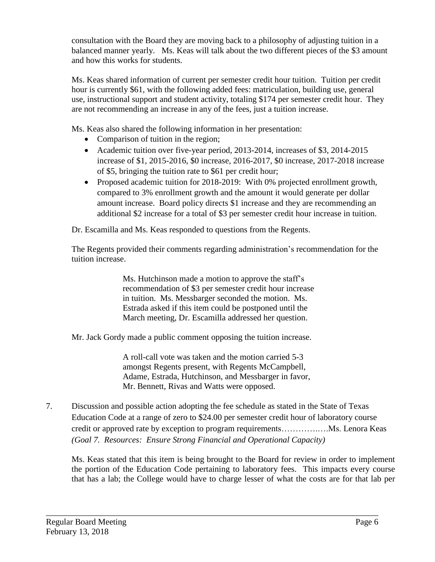consultation with the Board they are moving back to a philosophy of adjusting tuition in a balanced manner yearly. Ms. Keas will talk about the two different pieces of the \$3 amount and how this works for students.

Ms. Keas shared information of current per semester credit hour tuition. Tuition per credit hour is currently \$61, with the following added fees: matriculation, building use, general use, instructional support and student activity, totaling \$174 per semester credit hour. They are not recommending an increase in any of the fees, just a tuition increase.

Ms. Keas also shared the following information in her presentation:

- Comparison of tuition in the region;
- Academic tuition over five-year period, 2013-2014, increases of \$3, 2014-2015 increase of \$1, 2015-2016, \$0 increase, 2016-2017, \$0 increase, 2017-2018 increase of \$5, bringing the tuition rate to \$61 per credit hour;
- Proposed academic tuition for 2018-2019: With 0% projected enrollment growth, compared to 3% enrollment growth and the amount it would generate per dollar amount increase. Board policy directs \$1 increase and they are recommending an additional \$2 increase for a total of \$3 per semester credit hour increase in tuition.

Dr. Escamilla and Ms. Keas responded to questions from the Regents.

The Regents provided their comments regarding administration's recommendation for the tuition increase.

> Ms. Hutchinson made a motion to approve the staff's recommendation of \$3 per semester credit hour increase in tuition. Ms. Messbarger seconded the motion. Ms. Estrada asked if this item could be postponed until the March meeting, Dr. Escamilla addressed her question.

Mr. Jack Gordy made a public comment opposing the tuition increase.

A roll-call vote was taken and the motion carried 5-3 amongst Regents present, with Regents McCampbell, Adame, Estrada, Hutchinson, and Messbarger in favor, Mr. Bennett, Rivas and Watts were opposed.

7. Discussion and possible action adopting the fee schedule as stated in the State of Texas Education Code at a range of zero to \$24.00 per semester credit hour of laboratory course credit or approved rate by exception to program requirements………….….Ms. Lenora Keas *(Goal 7. Resources: Ensure Strong Financial and Operational Capacity)*

\_\_\_\_\_\_\_\_\_\_\_\_\_\_\_\_\_\_\_\_\_\_\_\_\_\_\_\_\_\_\_\_\_\_\_\_\_\_\_\_\_\_\_\_\_\_\_\_\_\_\_\_\_\_\_\_\_\_\_\_\_\_\_\_\_\_\_\_\_\_\_\_\_\_\_\_\_\_

Ms. Keas stated that this item is being brought to the Board for review in order to implement the portion of the Education Code pertaining to laboratory fees. This impacts every course that has a lab; the College would have to charge lesser of what the costs are for that lab per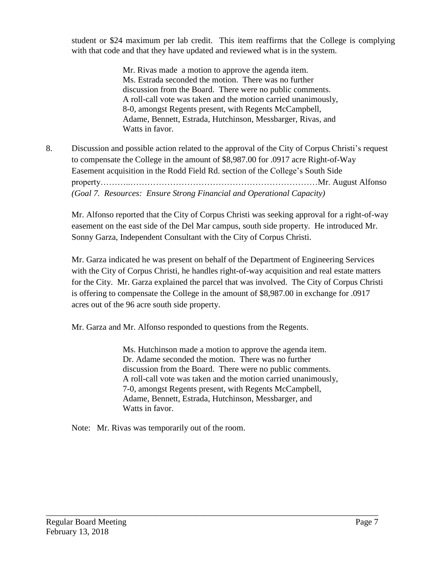student or \$24 maximum per lab credit. This item reaffirms that the College is complying with that code and that they have updated and reviewed what is in the system.

> Mr. Rivas made a motion to approve the agenda item. Ms. Estrada seconded the motion. There was no further discussion from the Board. There were no public comments. A roll-call vote was taken and the motion carried unanimously, 8-0, amongst Regents present, with Regents McCampbell, Adame, Bennett, Estrada, Hutchinson, Messbarger, Rivas, and Watts in favor.

8. Discussion and possible action related to the approval of the City of Corpus Christi's request to compensate the College in the amount of \$8,987.00 for .0917 acre Right-of-Way Easement acquisition in the Rodd Field Rd. section of the College's South Side property………..…………………………………………………………Mr. August Alfonso *(Goal 7. Resources: Ensure Strong Financial and Operational Capacity)*

Mr. Alfonso reported that the City of Corpus Christi was seeking approval for a right-of-way easement on the east side of the Del Mar campus, south side property. He introduced Mr. Sonny Garza, Independent Consultant with the City of Corpus Christi.

Mr. Garza indicated he was present on behalf of the Department of Engineering Services with the City of Corpus Christi, he handles right-of-way acquisition and real estate matters for the City. Mr. Garza explained the parcel that was involved. The City of Corpus Christi is offering to compensate the College in the amount of \$8,987.00 in exchange for .0917 acres out of the 96 acre south side property.

Mr. Garza and Mr. Alfonso responded to questions from the Regents.

Ms. Hutchinson made a motion to approve the agenda item. Dr. Adame seconded the motion. There was no further discussion from the Board. There were no public comments. A roll-call vote was taken and the motion carried unanimously, 7-0, amongst Regents present, with Regents McCampbell, Adame, Bennett, Estrada, Hutchinson, Messbarger, and Watts in favor.

\_\_\_\_\_\_\_\_\_\_\_\_\_\_\_\_\_\_\_\_\_\_\_\_\_\_\_\_\_\_\_\_\_\_\_\_\_\_\_\_\_\_\_\_\_\_\_\_\_\_\_\_\_\_\_\_\_\_\_\_\_\_\_\_\_\_\_\_\_\_\_\_\_\_\_\_\_\_

Note: Mr. Rivas was temporarily out of the room.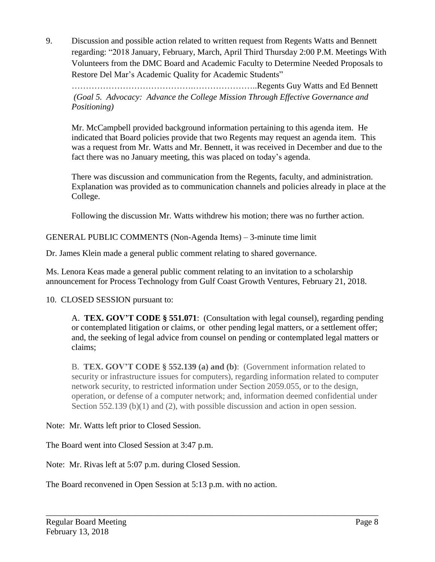9. Discussion and possible action related to written request from Regents Watts and Bennett regarding: "2018 January, February, March, April Third Thursday 2:00 P.M. Meetings With Volunteers from the DMC Board and Academic Faculty to Determine Needed Proposals to Restore Del Mar's Academic Quality for Academic Students"

…………………………………….…………………..Regents Guy Watts and Ed Bennett *(Goal 5. Advocacy: Advance the College Mission Through Effective Governance and Positioning)*

Mr. McCampbell provided background information pertaining to this agenda item. He indicated that Board policies provide that two Regents may request an agenda item. This was a request from Mr. Watts and Mr. Bennett, it was received in December and due to the fact there was no January meeting, this was placed on today's agenda.

There was discussion and communication from the Regents, faculty, and administration. Explanation was provided as to communication channels and policies already in place at the College.

Following the discussion Mr. Watts withdrew his motion; there was no further action.

GENERAL PUBLIC COMMENTS (Non-Agenda Items) – 3-minute time limit

Dr. James Klein made a general public comment relating to shared governance.

Ms. Lenora Keas made a general public comment relating to an invitation to a scholarship announcement for Process Technology from Gulf Coast Growth Ventures, February 21, 2018.

10. CLOSED SESSION pursuant to:

A. **TEX. GOV'T CODE § 551.071**: (Consultation with legal counsel), regarding pending or contemplated litigation or claims, or other pending legal matters, or a settlement offer; and, the seeking of legal advice from counsel on pending or contemplated legal matters or claims;

B. **TEX. GOV'T CODE § 552.139 (a) and (b)**: (Government information related to security or infrastructure issues for computers), regarding information related to computer network security, to restricted information under Section 2059.055, or to the design, operation, or defense of a computer network; and, information deemed confidential under Section 552.139 (b)(1) and (2), with possible discussion and action in open session.

\_\_\_\_\_\_\_\_\_\_\_\_\_\_\_\_\_\_\_\_\_\_\_\_\_\_\_\_\_\_\_\_\_\_\_\_\_\_\_\_\_\_\_\_\_\_\_\_\_\_\_\_\_\_\_\_\_\_\_\_\_\_\_\_\_\_\_\_\_\_\_\_\_\_\_\_\_\_

Note: Mr. Watts left prior to Closed Session.

The Board went into Closed Session at 3:47 p.m.

Note: Mr. Rivas left at 5:07 p.m. during Closed Session.

The Board reconvened in Open Session at 5:13 p.m. with no action.